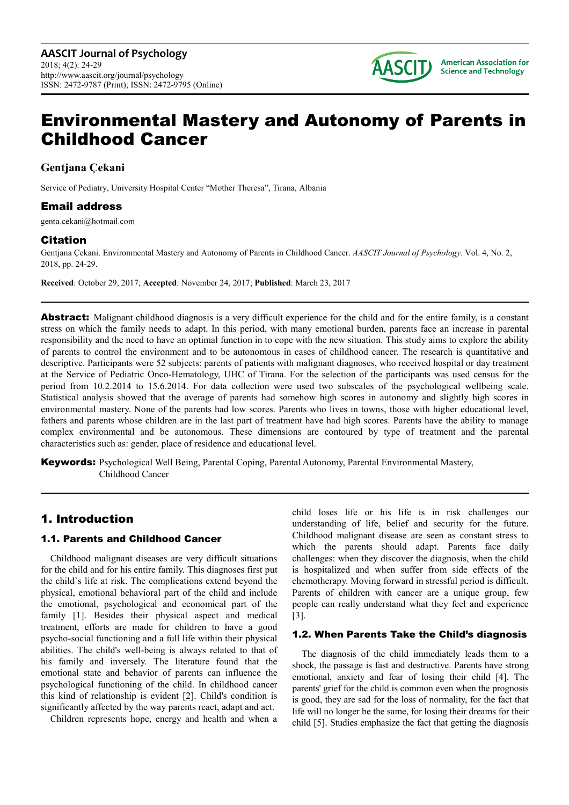

# Environmental Mastery and Autonomy of Parents in Childhood Cancer

# **Gentjana Çekani**

Service of Pediatry, University Hospital Center "Mother Theresa", Tirana, Albania

# Email address

genta.cekani@hotmail.com

# **Citation**

Gentjana Çekani. Environmental Mastery and Autonomy of Parents in Childhood Cancer. *AASCIT Journal of Psychology*. Vol. 4, No. 2, 2018, pp. 24-29.

**Received**: October 29, 2017; **Accepted**: November 24, 2017; **Published**: March 23, 2017

**Abstract:** Malignant childhood diagnosis is a very difficult experience for the child and for the entire family, is a constant stress on which the family needs to adapt. In this period, with many emotional burden, parents face an increase in parental responsibility and the need to have an optimal function in to cope with the new situation. This study aims to explore the ability of parents to control the environment and to be autonomous in cases of childhood cancer. The research is quantitative and descriptive. Participants were 52 subjects: parents of patients with malignant diagnoses, who received hospital or day treatment at the Service of Pediatric Onco-Hematology, UHC of Tirana. For the selection of the participants was used census for the period from 10.2.2014 to 15.6.2014. For data collection were used two subscales of the psychological wellbeing scale. Statistical analysis showed that the average of parents had somehow high scores in autonomy and slightly high scores in environmental mastery. None of the parents had low scores. Parents who lives in towns, those with higher educational level, fathers and parents whose children are in the last part of treatment have had high scores. Parents have the ability to manage complex environmental and be autonomous. These dimensions are contoured by type of treatment and the parental characteristics such as: gender, place of residence and educational level.

**Keywords:** Psychological Well Being, Parental Coping, Parental Autonomy, Parental Environmental Mastery, Childhood Cancer

# 1. Introduction

# 1.1. Parents and Childhood Cancer

Childhood malignant diseases are very difficult situations for the child and for his entire family. This diagnoses first put the child`s life at risk. The complications extend beyond the physical, emotional behavioral part of the child and include the emotional, psychological and economical part of the family [1]. Besides their physical aspect and medical treatment, efforts are made for children to have a good psycho-social functioning and a full life within their physical abilities. The child's well-being is always related to that of his family and inversely. The literature found that the emotional state and behavior of parents can influence the psychological functioning of the child. In childhood cancer this kind of relationship is evident [2]. Child's condition is significantly affected by the way parents react, adapt and act.

Children represents hope, energy and health and when a

child loses life or his life is in risk challenges our understanding of life, belief and security for the future. Childhood malignant disease are seen as constant stress to which the parents should adapt. Parents face daily challenges: when they discover the diagnosis, when the child is hospitalized and when suffer from side effects of the chemotherapy. Moving forward in stressful period is difficult. Parents of children with cancer are a unique group, few people can really understand what they feel and experience [3].

# 1.2. When Parents Take the Child's diagnosis

The diagnosis of the child immediately leads them to a shock, the passage is fast and destructive. Parents have strong emotional, anxiety and fear of losing their child [4]. The parents' grief for the child is common even when the prognosis is good, they are sad for the loss of normality, for the fact that life will no longer be the same, for losing their dreams for their child [5]. Studies emphasize the fact that getting the diagnosis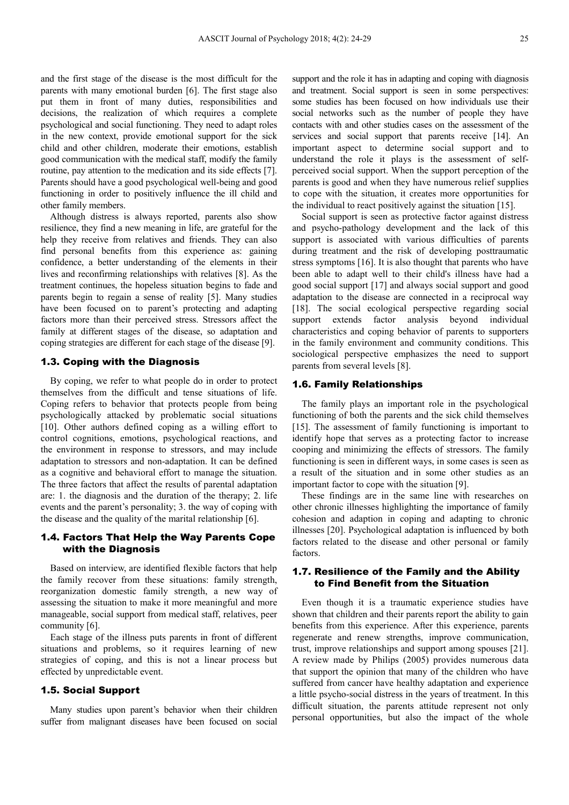and the first stage of the disease is the most difficult for the parents with many emotional burden [6]. The first stage also put them in front of many duties, responsibilities and decisions, the realization of which requires a complete psychological and social functioning. They need to adapt roles in the new context, provide emotional support for the sick child and other children, moderate their emotions, establish good communication with the medical staff, modify the family routine, pay attention to the medication and its side effects [7]. Parents should have a good psychological well-being and good functioning in order to positively influence the ill child and other family members.

Although distress is always reported, parents also show resilience, they find a new meaning in life, are grateful for the help they receive from relatives and friends. They can also find personal benefits from this experience as: gaining confidence, a better understanding of the elements in their lives and reconfirming relationships with relatives [8]. As the treatment continues, the hopeless situation begins to fade and parents begin to regain a sense of reality [5]. Many studies have been focused on to parent's protecting and adapting factors more than their perceived stress. Stressors affect the family at different stages of the disease, so adaptation and coping strategies are different for each stage of the disease [9].

#### 1.3. Coping with the Diagnosis

By coping, we refer to what people do in order to protect themselves from the difficult and tense situations of life. Coping refers to behavior that protects people from being psychologically attacked by problematic social situations [10]. Other authors defined coping as a willing effort to control cognitions, emotions, psychological reactions, and the environment in response to stressors, and may include adaptation to stressors and non-adaptation. It can be defined as a cognitive and behavioral effort to manage the situation. The three factors that affect the results of parental adaptation are: 1. the diagnosis and the duration of the therapy; 2. life events and the parent's personality; 3. the way of coping with the disease and the quality of the marital relationship [6].

### 1.4. Factors That Help the Way Parents Cope with the Diagnosis

Based on interview, are identified flexible factors that help the family recover from these situations: family strength, reorganization domestic family strength, a new way of assessing the situation to make it more meaningful and more manageable, social support from medical staff, relatives, peer community [6].

Each stage of the illness puts parents in front of different situations and problems, so it requires learning of new strategies of coping, and this is not a linear process but effected by unpredictable event.

#### 1.5. Social Support

Many studies upon parent's behavior when their children suffer from malignant diseases have been focused on social

support and the role it has in adapting and coping with diagnosis and treatment. Social support is seen in some perspectives: some studies has been focused on how individuals use their social networks such as the number of people they have contacts with and other studies cases on the assessment of the services and social support that parents receive [14]. An important aspect to determine social support and to understand the role it plays is the assessment of selfperceived social support. When the support perception of the parents is good and when they have numerous relief supplies to cope with the situation, it creates more opportunities for the individual to react positively against the situation [15].

Social support is seen as protective factor against distress and psycho-pathology development and the lack of this support is associated with various difficulties of parents during treatment and the risk of developing posttraumatic stress symptoms [16]. It is also thought that parents who have been able to adapt well to their child's illness have had a good social support [17] and always social support and good adaptation to the disease are connected in a reciprocal way [18]. The social ecological perspective regarding social support extends factor analysis beyond individual characteristics and coping behavior of parents to supporters in the family environment and community conditions. This sociological perspective emphasizes the need to support parents from several levels [8].

#### 1.6. Family Relationships

The family plays an important role in the psychological functioning of both the parents and the sick child themselves [15]. The assessment of family functioning is important to identify hope that serves as a protecting factor to increase cooping and minimizing the effects of stressors. The family functioning is seen in different ways, in some cases is seen as a result of the situation and in some other studies as an important factor to cope with the situation [9].

These findings are in the same line with researches on other chronic illnesses highlighting the importance of family cohesion and adaption in coping and adapting to chronic illnesses [20]. Psychological adaptation is influenced by both factors related to the disease and other personal or family factors.

### 1.7. Resilience of the Family and the Ability to Find Benefit from the Situation

Even though it is a traumatic experience studies have shown that children and their parents report the ability to gain benefits from this experience. After this experience, parents regenerate and renew strengths, improve communication, trust, improve relationships and support among spouses [21]. A review made by Philips (2005) provides numerous data that support the opinion that many of the children who have suffered from cancer have healthy adaptation and experience a little psycho-social distress in the years of treatment. In this difficult situation, the parents attitude represent not only personal opportunities, but also the impact of the whole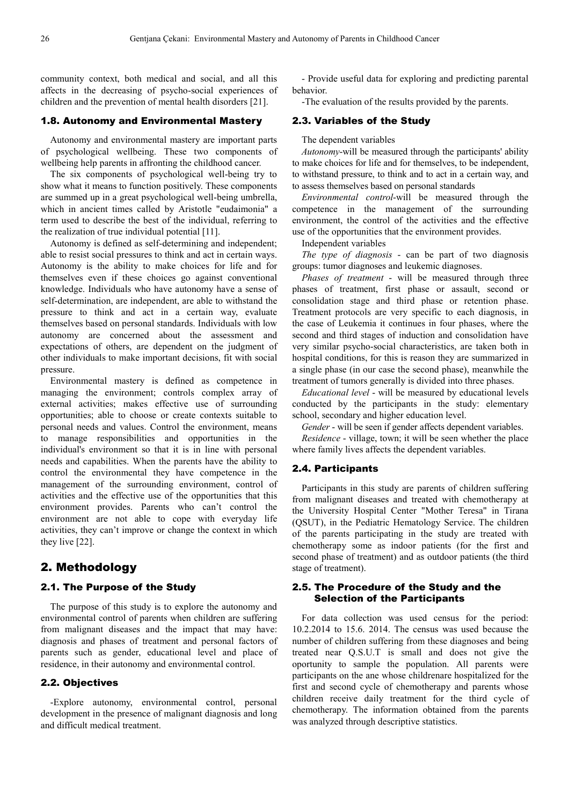community context, both medical and social, and all this affects in the decreasing of psycho-social experiences of children and the prevention of mental health disorders [21].

### 1.8. Autonomy and Environmental Mastery

Autonomy and environmental mastery are important parts of psychological wellbeing. These two components of wellbeing help parents in affronting the childhood cancer.

The six components of psychological well-being try to show what it means to function positively. These components are summed up in a great psychological well-being umbrella, which in ancient times called by Aristotle "eudaimonia" a term used to describe the best of the individual, referring to the realization of true individual potential [11].

Autonomy is defined as self-determining and independent; able to resist social pressures to think and act in certain ways. Autonomy is the ability to make choices for life and for themselves even if these choices go against conventional knowledge. Individuals who have autonomy have a sense of self-determination, are independent, are able to withstand the pressure to think and act in a certain way, evaluate themselves based on personal standards. Individuals with low autonomy are concerned about the assessment and expectations of others, are dependent on the judgment of other individuals to make important decisions, fit with social pressure.

Environmental mastery is defined as competence in managing the environment; controls complex array of external activities; makes effective use of surrounding opportunities; able to choose or create contexts suitable to personal needs and values. Control the environment, means to manage responsibilities and opportunities in the individual's environment so that it is in line with personal needs and capabilities. When the parents have the ability to control the environmental they have competence in the management of the surrounding environment, control of activities and the effective use of the opportunities that this environment provides. Parents who can't control the environment are not able to cope with everyday life activities, they can't improve or change the context in which they live [22].

# 2. Methodology

#### 2.1. The Purpose of the Study

The purpose of this study is to explore the autonomy and environmental control of parents when children are suffering from malignant diseases and the impact that may have: diagnosis and phases of treatment and personal factors of parents such as gender, educational level and place of residence, in their autonomy and environmental control.

#### 2.2. Objectives

-Explore autonomy, environmental control, personal development in the presence of malignant diagnosis and long and difficult medical treatment.

- Provide useful data for exploring and predicting parental behavior.

-The evaluation of the results provided by the parents.

### 2.3. Variables of the Study

The dependent variables

*Autonomy*-will be measured through the participants' ability to make choices for life and for themselves, to be independent, to withstand pressure, to think and to act in a certain way, and to assess themselves based on personal standards

*Environmental control*-will be measured through the competence in the management of the surrounding environment, the control of the activities and the effective use of the opportunities that the environment provides.

Independent variables

*The type of diagnosis* - can be part of two diagnosis groups: tumor diagnoses and leukemic diagnoses.

*Phases of treatment* - will be measured through three phases of treatment, first phase or assault, second or consolidation stage and third phase or retention phase. Treatment protocols are very specific to each diagnosis, in the case of Leukemia it continues in four phases, where the second and third stages of induction and consolidation have very similar psycho-social characteristics, are taken both in hospital conditions, for this is reason they are summarized in a single phase (in our case the second phase), meanwhile the treatment of tumors generally is divided into three phases.

*Educational level* - will be measured by educational levels conducted by the participants in the study: elementary school, secondary and higher education level.

*Gender* - will be seen if gender affects dependent variables.

*Residence* - village, town; it will be seen whether the place where family lives affects the dependent variables.

#### 2.4. Participants

Participants in this study are parents of children suffering from malignant diseases and treated with chemotherapy at the University Hospital Center "Mother Teresa" in Tirana (QSUT), in the Pediatric Hematology Service. The children of the parents participating in the study are treated with chemotherapy some as indoor patients (for the first and second phase of treatment) and as outdoor patients (the third stage of treatment).

#### 2.5. The Procedure of the Study and the Selection of the Participants

For data collection was used census for the period: 10.2.2014 to 15.6. 2014. The census was used because the number of children suffering from these diagnoses and being treated near Q.S.U.T is small and does not give the oportunity to sample the population. All parents were participants on the ane whose childrenare hospitalized for the first and second cycle of chemotherapy and parents whose children receive daily treatment for the third cycle of chemotherapy. The information obtained from the parents was analyzed through descriptive statistics.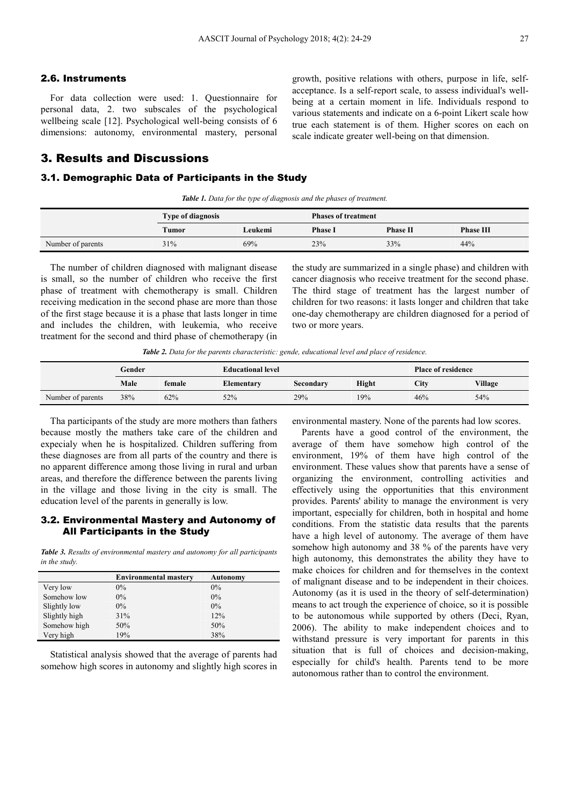## 2.6. Instruments

For data collection were used: 1. Questionnaire for personal data, 2. two subscales of the psychological wellbeing scale [12]. Psychological well-being consists of 6 dimensions: autonomy, environmental mastery, personal

# 3. Results and Discussions

#### 3.1. Demographic Data of Participants in the Study

*Table 1. Data for the type of diagnosis and the phases of treatment.* 

|                   | <b>Type of diagnosis</b> |         | <b>Phases of treatment</b> |                 |                  |
|-------------------|--------------------------|---------|----------------------------|-----------------|------------------|
|                   | Tumor                    | Leukemi | <b>Phase I</b>             | <b>Phase II</b> | <b>Phase III</b> |
| Number of parents | 31%                      | 69%     | 23%                        | 33%             | 44%              |

The number of children diagnosed with malignant disease is small, so the number of children who receive the first phase of treatment with chemotherapy is small. Children receiving medication in the second phase are more than those of the first stage because it is a phase that lasts longer in time and includes the children, with leukemia, who receive treatment for the second and third phase of chemotherapy (in

the study are summarized in a single phase) and children with cancer diagnosis who receive treatment for the second phase. The third stage of treatment has the largest number of children for two reasons: it lasts longer and children that take one-day chemotherapy are children diagnosed for a period of two or more years.

growth, positive relations with others, purpose in life, selfacceptance. Is a self-report scale, to assess individual's wellbeing at a certain moment in life. Individuals respond to various statements and indicate on a 6-point Likert scale how true each statement is of them. Higher scores on each on

scale indicate greater well-being on that dimension.

*Table 2. Data for the parents characteristic: gende, educational level and place of residence.* 

|                   | Gender |        | <b>Educational level</b> |           | <b>Place of residence</b> |      |         |
|-------------------|--------|--------|--------------------------|-----------|---------------------------|------|---------|
|                   | Male   | female | Elementary               | Secondary | <b>Hight</b>              | City | Village |
| Number of parents | 38%    | 62%    | 52%                      | 29%       | 19%                       | 46%  | 54%     |

Tha participants of the study are more mothers than fathers because mostly the mathers take care of the children and expecialy when he is hospitalized. Children suffering from these diagnoses are from all parts of the country and there is no apparent difference among those living in rural and urban areas, and therefore the difference between the parents living in the village and those living in the city is small. The education level of the parents in generally is low.

#### 3.2. Environmental Mastery and Autonomy of All Participants in the Study

*Table 3. Results of environmental mastery and autonomy for all participants in the study.* 

|               | <b>Environmental mastery</b> | <b>Autonomy</b> |
|---------------|------------------------------|-----------------|
| Very low      | $0\%$                        | 0%              |
| Somehow low   | $0\%$                        | $0\%$           |
| Slightly low  | $0\%$                        | $0\%$           |
| Slightly high | 31%                          | 12%             |
| Somehow high  | 50%                          | 50%             |
| Very high     | 19%                          | 38%             |

Statistical analysis showed that the average of parents had somehow high scores in autonomy and slightly high scores in

environmental mastery. None of the parents had low scores.

Parents have a good control of the environment, the average of them have somehow high control of the environment, 19% of them have high control of the environment. These values show that parents have a sense of organizing the environment, controlling activities and effectively using the opportunities that this environment provides. Parents' ability to manage the environment is very important, especially for children, both in hospital and home conditions. From the statistic data results that the parents have a high level of autonomy. The average of them have somehow high autonomy and 38 % of the parents have very high autonomy, this demonstrates the ability they have to make choices for children and for themselves in the context of malignant disease and to be independent in their choices. Autonomy (as it is used in the theory of self-determination) means to act trough the experience of choice, so it is possible to be autonomous while supported by others (Deci, Ryan, 2006). The ability to make independent choices and to withstand pressure is very important for parents in this situation that is full of choices and decision-making, especially for child's health. Parents tend to be more autonomous rather than to control the environment.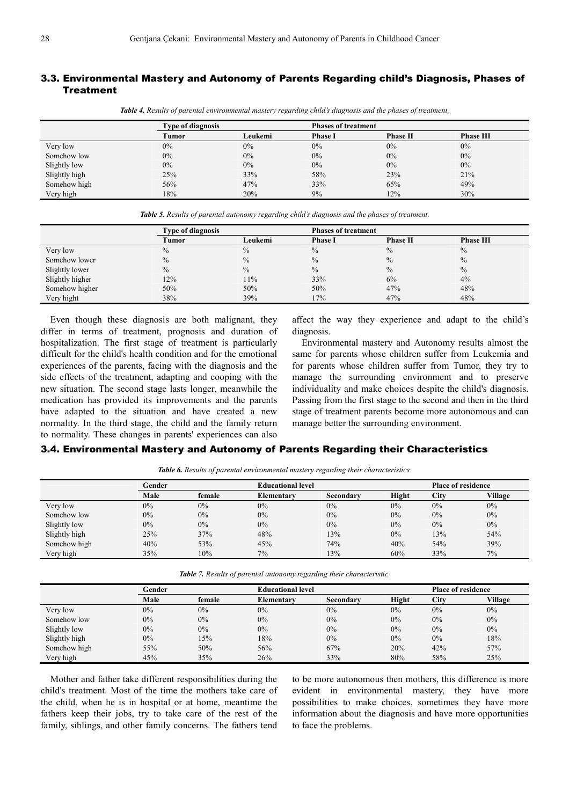### 3.3. Environmental Mastery and Autonomy of Parents Regarding child's Diagnosis, Phases of **Treatment**

|              | <b>Type of diagnosis</b> |         | <b>Phases of treatment</b> |                 |                  |
|--------------|--------------------------|---------|----------------------------|-----------------|------------------|
|              | Tumor                    | Leukemi | Phase 1                    | <b>Phase II</b> | <b>Phase III</b> |
| Very low     | $0\%$                    | $0\%$   | 0%                         | $0\%$           | 0%               |
| Somehow low  | $0\%$                    | $0\%$   | 0%                         | $0\%$           | $0\%$            |
| Slightly low | 0%                       | $0\%$   | 0%                         | $0\%$           | $0\%$            |

Slightly high 25% 33% 58% 23% 21% Somehow high 56% 56% 49% 47% 33% 65% 65% 49% Very high 18% 20% 9% 12% 30%

*Table 4. Results of parental environmental mastery regarding child's diagnosis and the phases of treatment.* 

| <b>Table 5.</b> Results of parental autonomy regarding child's diagnosis and the phases of treatment. |                          |          |                            |                 |         |  |
|-------------------------------------------------------------------------------------------------------|--------------------------|----------|----------------------------|-----------------|---------|--|
|                                                                                                       | <b>Type of diagnosis</b> |          | <b>Phases of treatment</b> |                 |         |  |
|                                                                                                       | Tumor                    | Leukemi- | <b>Phase I</b>             | <b>Phase II</b> | Phase 1 |  |
|                                                                                                       |                          |          |                            |                 |         |  |

|                 | $\sim$        |               |                |                 |                  |  |
|-----------------|---------------|---------------|----------------|-----------------|------------------|--|
|                 | Tumor         | Leukemi       | <b>Phase I</b> | <b>Phase II</b> | <b>Phase III</b> |  |
| Very low        | $\frac{0}{0}$ | $\frac{0}{0}$ | $\frac{0}{0}$  | $\frac{0}{0}$   | $\frac{0}{0}$    |  |
| Somehow lower   | $\frac{0}{0}$ | $\frac{0}{0}$ | $\frac{0}{0}$  | $\frac{0}{0}$   | $\frac{0}{0}$    |  |
| Slightly lower  | $\frac{0}{0}$ | $\frac{0}{0}$ | $\frac{0}{0}$  | $\frac{0}{0}$   | $\frac{0}{0}$    |  |
| Slightly higher | 12%           | 11%           | 33%            | 6%              | 4%               |  |
| Somehow higher  | 50%           | 50%           | 50%            | 47%             | 48%              |  |
| Very hight      | 38%           | 39%           | 17%            | 47%             | 48%              |  |

Even though these diagnosis are both malignant, they differ in terms of treatment, prognosis and duration of hospitalization. The first stage of treatment is particularly difficult for the child's health condition and for the emotional experiences of the parents, facing with the diagnosis and the side effects of the treatment, adapting and cooping with the new situation. The second stage lasts longer, meanwhile the medication has provided its improvements and the parents have adapted to the situation and have created a new normality. In the third stage, the child and the family return to normality. These changes in parents' experiences can also

affect the way they experience and adapt to the child's diagnosis.

Environmental mastery and Autonomy results almost the same for parents whose children suffer from Leukemia and for parents whose children suffer from Tumor, they try to manage the surrounding environment and to preserve individuality and make choices despite the child's diagnosis. Passing from the first stage to the second and then in the third stage of treatment parents become more autonomous and can manage better the surrounding environment.

#### 3.4. Environmental Mastery and Autonomy of Parents Regarding their Characteristics

|               | Gender |        |                   | <b>Educational level</b> |       |      | <b>Place of residence</b> |  |
|---------------|--------|--------|-------------------|--------------------------|-------|------|---------------------------|--|
|               | Male   | female | <b>Elementary</b> | Secondary                | Hight | City | Village                   |  |
| Very low      | $0\%$  | $0\%$  | $0\%$             | $0\%$                    | $0\%$ | 0%   | $0\%$                     |  |
| Somehow low   | $0\%$  | $0\%$  | $0\%$             | $0\%$                    | $0\%$ | 0%   | $0\%$                     |  |
| Slightly low  | $0\%$  | $0\%$  | $0\%$             | $0\%$                    | $0\%$ | 0%   | $0\%$                     |  |
| Slightly high | 25%    | 37%    | 48%               | 13%                      | $0\%$ | 13%  | 54%                       |  |
| Somehow high  | 40%    | 53%    | 45%               | 74%                      | 40%   | 54%  | 39%                       |  |
| Very high     | 35%    | 10%    | 7%                | 13%                      | 60%   | 33%  | 7%                        |  |

*Table 6. Results of parental environmental mastery regarding their characteristics.* 

*Table 7. Results of parental autonomy regarding their characteristic.* 

|               | Gender |        | <b>Educational level</b> |           |              | <b>Place of residence</b> |         |
|---------------|--------|--------|--------------------------|-----------|--------------|---------------------------|---------|
|               | Male   | female | Elementary               | Secondary | <b>Hight</b> | City                      | Village |
| Very low      | $0\%$  | $0\%$  | $0\%$                    | $0\%$     | $0\%$        | 0%                        | $0\%$   |
| Somehow low   | $0\%$  | 0%     | $0\%$                    | $0\%$     | $0\%$        | 0%                        | $0\%$   |
| Slightly low  | $0\%$  | $0\%$  | $0\%$                    | $0\%$     | 0%           | 0%                        | $0\%$   |
| Slightly high | $0\%$  | 15%    | 18%                      | $0\%$     | $0\%$        | 0%                        | 18%     |
| Somehow high  | 55%    | 50%    | 56%                      | 67%       | 20%          | 42%                       | 57%     |
| Very high     | 45%    | 35%    | 26%                      | 33%       | 80%          | 58%                       | 25%     |

Mother and father take different responsibilities during the child's treatment. Most of the time the mothers take care of the child, when he is in hospital or at home, meantime the fathers keep their jobs, try to take care of the rest of the family, siblings, and other family concerns. The fathers tend to be more autonomous then mothers, this difference is more evident in environmental mastery, they have more possibilities to make choices, sometimes they have more information about the diagnosis and have more opportunities to face the problems.